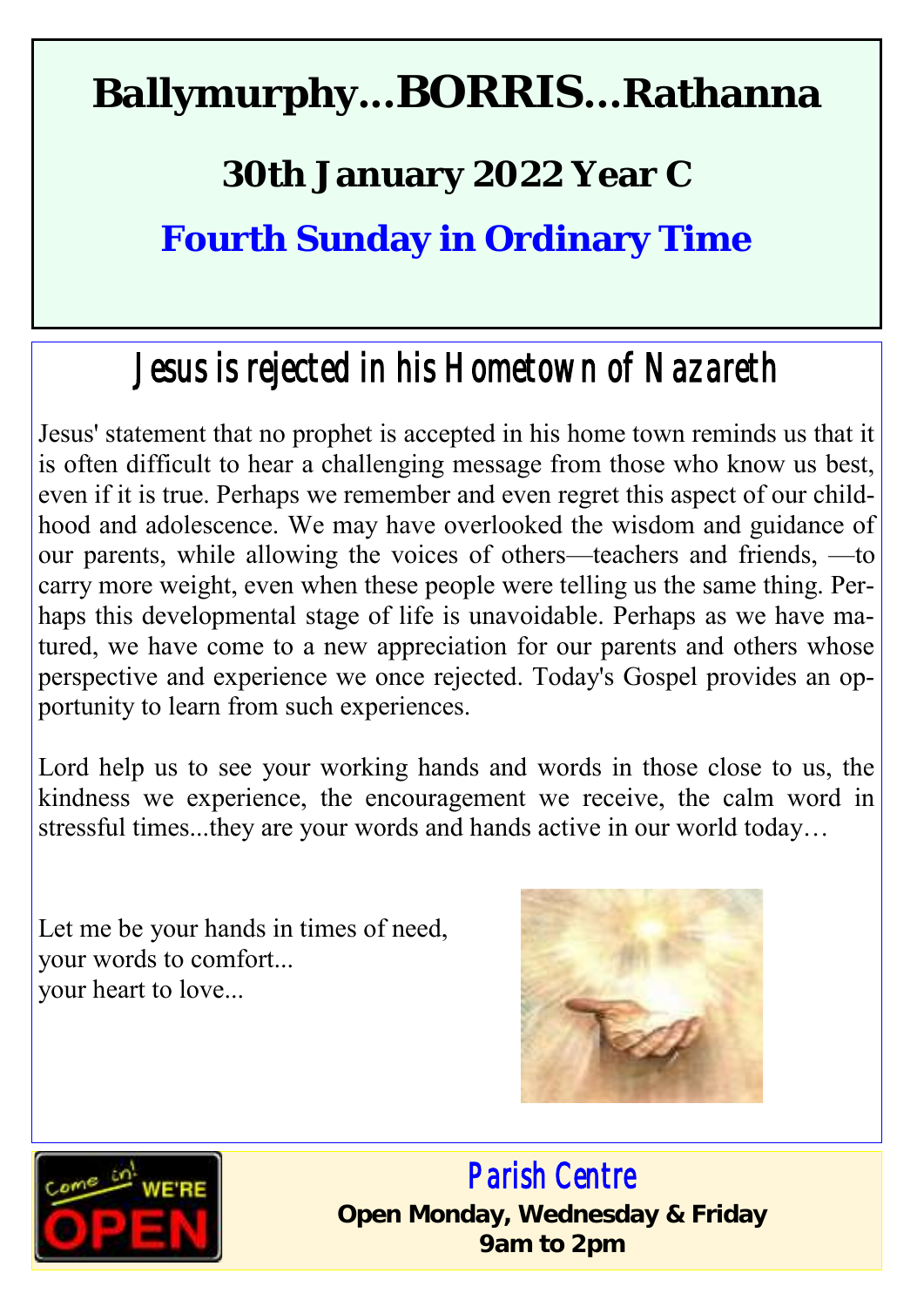# **Ballymurphy...BORRIS...Rathanna**

## **30th January 2022 Year C**

**Fourth Sunday in Ordinary Time**

# *Jesus is rejected in his Hometown of Nazareth*

Jesus' statement that no prophet is accepted in his home town reminds us that it is often difficult to hear a challenging message from those who know us best, even if it is true. Perhaps we remember and even regret this aspect of our childhood and adolescence. We may have overlooked the wisdom and guidance of our parents, while allowing the voices of others—teachers and friends, —to carry more weight, even when these people were telling us the same thing. Perhaps this developmental stage of life is unavoidable. Perhaps as we have matured, we have come to a new appreciation for our parents and others whose perspective and experience we once rejected. Today's Gospel provides an opportunity to learn from such experiences.

Lord help us to see your working hands and words in those close to us, the kindness we experience, the encouragement we receive, the calm word in stressful times...they are your words and hands active in our world today…

Let me be your hands in times of need, your words to comfort... your heart to love...





 *Parish Centre*  **Open Monday, Wednesday & Friday 9am to 2pm**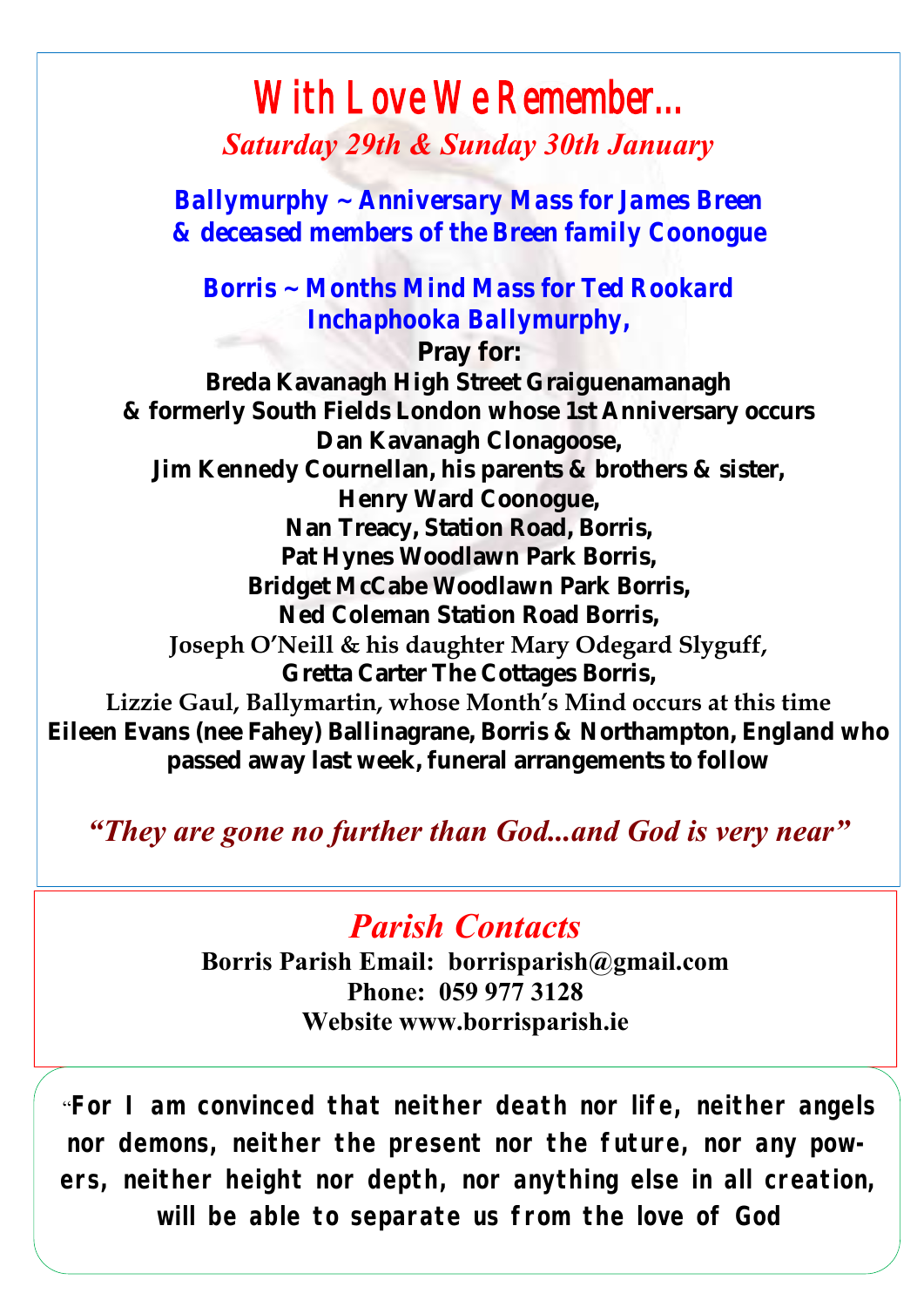#### *With Love We Remember... Saturday 29th & Sunday 30th January*

*Ballymurphy ~ Anniversary Mass for James Breen & deceased members of the Breen family Coonogue*

*Borris ~ Months Mind Mass for Ted Rookard Inchaphooka Ballymurphy,*

**Pray for: Breda Kavanagh High Street Graiguenamanagh & formerly South Fields London whose 1st Anniversary occurs Dan Kavanagh Clonagoose, Jim Kennedy Cournellan, his parents & brothers & sister, Henry Ward Coonogue, Nan Treacy, Station Road, Borris, Pat Hynes Woodlawn Park Borris, Bridget McCabe Woodlawn Park Borris, Ned Coleman Station Road Borris, Joseph O'Neill & his daughter Mary Odegard Slyguff, Gretta Carter The Cottages Borris, Lizzie Gaul, Ballymartin, whose Month's Mind occurs at this time Eileen Evans (nee Fahey) Ballinagrane, Borris & Northampton, England who** 

**passed away last week, funeral arrangements to follow**

*"They are gone no further than God...and God is very near"*

#### *Parish Contacts*

**Borris Parish Email: borrisparish@gmail.com Phone: 059 977 3128 Website www.borrisparish.ie**

"**For I am convinced that neither death nor life, neither angels nor demons, neither the present nor the future, nor any powers, neither height nor depth, nor anything else in all creation, will be able to separate us from the love of God**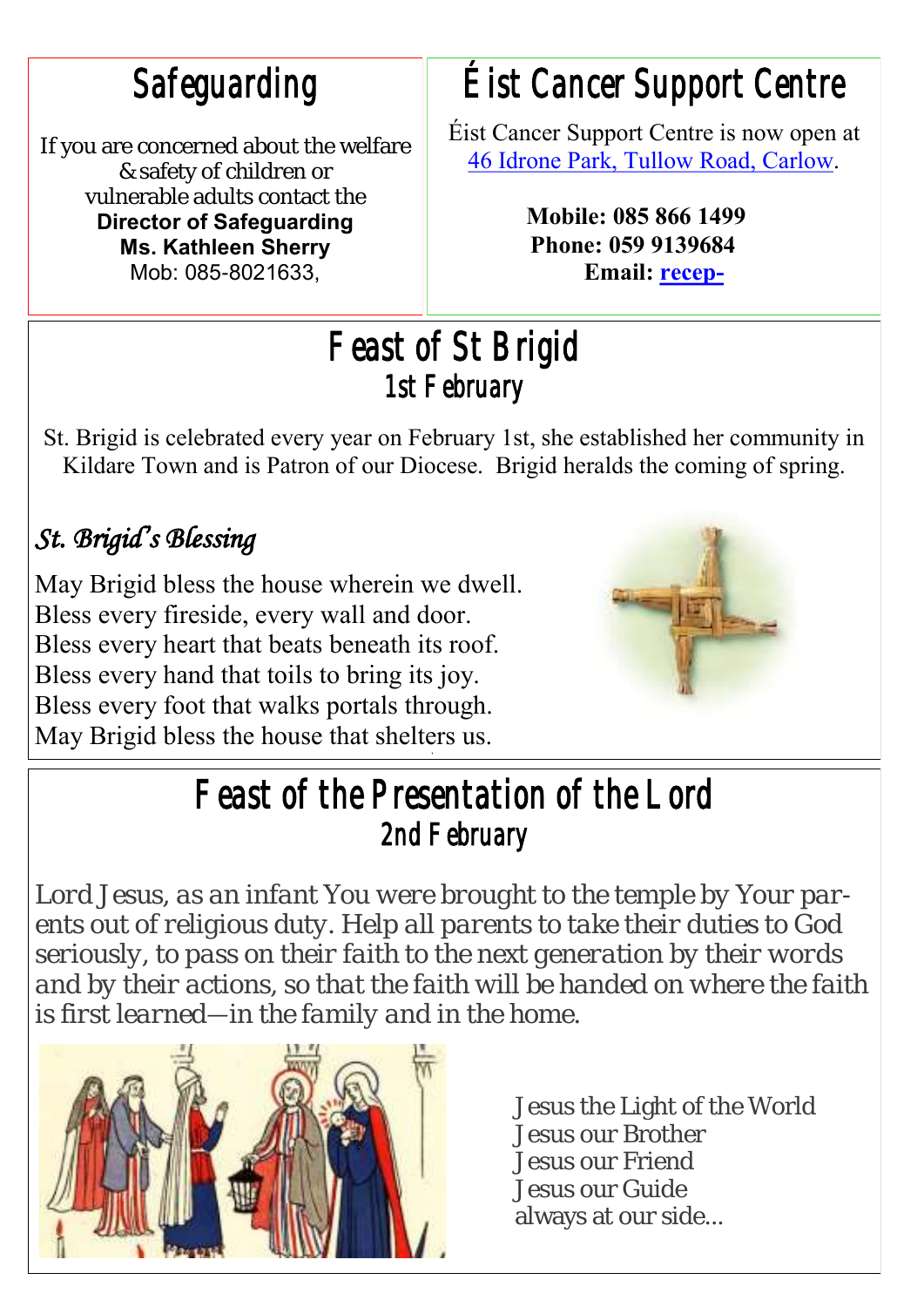*Safeguarding* 

If you are concerned about the welfare & safety of children or vulnerable adults contact the **Director of Safeguarding Ms. Kathleen Sherry**  Mob: 085-8021633,

## *Éist Cancer Support Centre*

Éist Cancer Support Centre is now open at [46 Idrone Park, Tullow Road, Carlow.](https://www.google.com/maps/search/46+Idrone+Park,+Tullow+Road,+Carlow?entry=gmail&source=g) 

> **Mobile: 085 866 1499 Phone: 059 9139684 Email: [recep-](https://mail.google.com/mail/u/0/h/1qtoezsqni0f/?&cs=wh&v=b&to=reception@eistcarlowcancersupport.ie)**

#### *Feast of St Brigid 1st February*

St. Brigid is celebrated every year on February 1st, she established her community in Kildare Town and is Patron of our Diocese. Brigid heralds the coming of spring.

#### *St. Brigid's Blessing*

May Brigid bless the house wherein we dwell. Bless every fireside, every wall and door. Bless every heart that beats beneath its roof. Bless every hand that toils to bring its joy. Bless every foot that walks portals through. May Brigid bless the house that shelters us.



#### *Feast of the Presentation of the Lord 2nd February*

*Lord Jesus, as an infant You were brought to the temple by Your parents out of religious duty. Help all parents to take their duties to God seriously, to pass on their faith to the next generation by their words and by their actions, so that the faith will be handed on where the faith is first learned—in the family and in the home.*



Jesus the Light of the World Jesus our Brother Jesus our Friend Jesus our Guide always at our side...